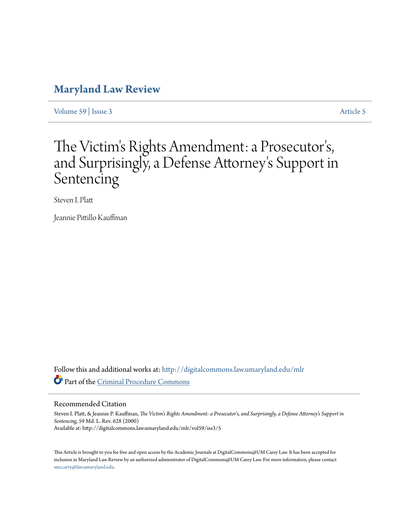## **[Maryland Law Review](http://digitalcommons.law.umaryland.edu/mlr?utm_source=digitalcommons.law.umaryland.edu%2Fmlr%2Fvol59%2Fiss3%2F5&utm_medium=PDF&utm_campaign=PDFCoverPages)**

[Volume 59](http://digitalcommons.law.umaryland.edu/mlr/vol59?utm_source=digitalcommons.law.umaryland.edu%2Fmlr%2Fvol59%2Fiss3%2F5&utm_medium=PDF&utm_campaign=PDFCoverPages) | [Issue 3](http://digitalcommons.law.umaryland.edu/mlr/vol59/iss3?utm_source=digitalcommons.law.umaryland.edu%2Fmlr%2Fvol59%2Fiss3%2F5&utm_medium=PDF&utm_campaign=PDFCoverPages) [Article 5](http://digitalcommons.law.umaryland.edu/mlr/vol59/iss3/5?utm_source=digitalcommons.law.umaryland.edu%2Fmlr%2Fvol59%2Fiss3%2F5&utm_medium=PDF&utm_campaign=PDFCoverPages)

# The Victim's Rights Amendment: a Prosecutor ' s, and Surprisingly, a Defense Attorney 's Support in Sentencing

Steven I. Platt

Jeannie Pittillo Kauffman

Follow this and additional works at: [http://digitalcommons.law.umaryland.edu/mlr](http://digitalcommons.law.umaryland.edu/mlr?utm_source=digitalcommons.law.umaryland.edu%2Fmlr%2Fvol59%2Fiss3%2F5&utm_medium=PDF&utm_campaign=PDFCoverPages) Part of the [Criminal Procedure Commons](http://network.bepress.com/hgg/discipline/1073?utm_source=digitalcommons.law.umaryland.edu%2Fmlr%2Fvol59%2Fiss3%2F5&utm_medium=PDF&utm_campaign=PDFCoverPages)

### Recommended Citation

Steven I. Platt, & Jeannie P. Kauffman, *The Victim's Rights Amendment: a Prosecutor's, and Surprisingly, a Defense Attorney's Support in Sentencing*, 59 Md. L. Rev. 628 (2000) Available at: http://digitalcommons.law.umaryland.edu/mlr/vol59/iss3/5

This Article is brought to you for free and open access by the Academic Journals at DigitalCommons@UM Carey Law. It has been accepted for inclusion in Maryland Law Review by an authorized administrator of DigitalCommons@UM Carey Law. For more information, please contact [smccarty@law.umaryland.edu.](mailto:smccarty@law.umaryland.edu)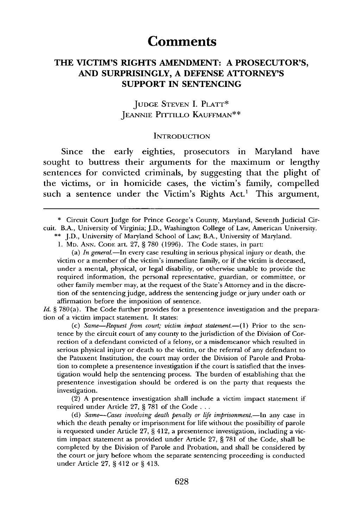## **Comments**

## **THE VICTIM'S RIGHTS AMENDMENT: A PROSECUTOR'S, AND SURPRISINGLY, A DEFENSE ATTORNEY'S SUPPORT IN SENTENCING**

## JUDGE STEVEN I. PLATT\* JEANNIE PITTILLo KAUFFMAN\*\*

#### **INTRODUCTION**

Since the early eighties, prosecutors in Maryland have sought to buttress their arguments for the maximum or lengthy sentences for convicted criminals, by suggesting that the plight of the victims, or in homicide cases, the victim's family, compelled such a sentence under the Victim's Rights Act.<sup>1</sup> This argument,

\*\* J.D., University of Maryland School of Law; B.A., University of Maryland.

1. MD. ANN. CODE art. 27, **§** 780 (1996). The Code states, in part:

(a) *In generaL-In* every case resulting in serious physical injury or death, the victim or a member of the victim's immediate family, or if the victim is deceased, under a mental, physical, or legal disability, or otherwise unable to provide the required information, the personal representative, guardian, or committee, or other family member may, at the request of the State's Attorney and in the discretion of the sentencing judge, address the sentencing judge or jury under oath or affirmation before the imposition of sentence.

*Id.* **§** 780(a). The Code further provides for a presentence investigation and the preparation of a victim impact statement. It states:

(c) Same-Request from court; victim impact statement.-(1) Prior to the sentence by the circuit court of any county to the jurisdiction of the Division of Correction of a defendant convicted of a felony, or a misdemeanor which resulted in serious physical injury or death to the victim, or the referral of any defendant to the Patuxent Institution, the court may order the Division of Parole and Probation to complete a presentence investigation if the court is satisfied that the investigation would help the sentencing process. The burden of establishing that the presentence investigation should be ordered is on the party that requests the investigation.

(2) A presentence investigation shall include a victim impact statement if required under Article 27, **§** 781 of the Code **. . .**

(d) Same--Cases involving death penalty or life imprisonment.-In any case in which the death penalty or imprisonment for life without the possibility of parole is requested under Article 27, **§** 412, a presentence investigation, including a victim impact statement as provided under Article 27, **§** 781 of the Code, shall be completed by the Division of Parole and Probation, and shall be considered by the court or jury before whom the separate sentencing proceeding is conducted under Article 27, **§** 412 or **§** 413.

<sup>\*</sup> Circuit Court Judge for Prince George's County, Maryland, Seventh Judicial Circuit. B.A., University of Virginia; J.D., Washington College of Law, American University.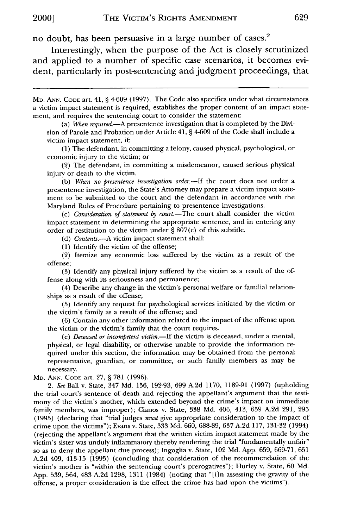no doubt, has been persuasive in a large number of cases.<sup>2</sup>

Interestingly, when the purpose of the Act is closely scrutinized and applied to a number of specific case scenarios, it becomes evident, particularly in post-sentencing and judgment proceedings, that

MD. **ANN. CODE** art. 41, § 4-609 (1997). The Code also specifies under what circumstances a victim impact statement is required, establishes the proper content of an impact statement, and requires the sentencing court to consider the statement:

(a) *Mhen required.-A* presentence investigation that is completed by the Division of Parole and Probation under Article 41, § 4-609 of the Code shall include a victim impact statement, if:

(1) The defendant, in committing a felony, caused physical, psychological, or economic injury to the victim; or

(2) The defendant, in committing a misdemeanor, caused serious physical injury or death to the victim.

(b) When no presentence investigation order.-If the court does not order a presentence investigation, the State's Attorney may prepare a victim impact statement to be submitted to the court and the defendant in accordance with the Maryland Rules of Procedure pertaining to presentence investigations.

(c) *Consideration of statement by court.*-The court shall consider the victim impact statement in determining the appropriate sentence, and in entering any order of restitution to the victim under § 807(c) of this subtitle.

(d) Contents.-A victim impact statement shall:

(1) Identify the victim of the offense;

(2) Itemize any economic loss suffered by the victim as a result of the offense;

(3) Identify any physical injury suffered by the victim as a result of the offense along with its seriousness and permanence;

(4) Describe any change in the victim's personal welfare or familial relationships as a result of the offense;

(5) Identify any request for psychological services initiated by the victim or the victim's family as a result of the offense; and

(6) Contain any other information related to the impact of the offense upon the victim or the victim's family that the court requires.

*(e) Deceased or incompetent* victim.-If the victim is deceased, under a mental, physical, or legal disability, or otherwise unable to provide the information required under this section, the information may be obtained from the personal representative, guardian, or committee, or such family members as may be necessary.

MD. **ANN. CODE** art. 27, § 781 (1996).

*2. See* Ball v. State, 347 Md. 156, 192-93, 699 A.2d 1170, 1189-91 (1997) (upholding the trial court's sentence of death and rejecting the appellant's argument that the testimony of the victim's mother, which extended beyond the crime's impact on immediate family members, was improper); Cianos v. State, 338 Md. 406, 413, 659 A.2d 291, 295 (1995) (declaring that "trial judges *must* give appropriate consideration to the impact of crime upon the victims"); Evans v. State, 333 Md. 660, 688-89, 637 A.2d 117, 131-32 (1994) (rejecting the appellant's argument that the written victim impact statement made by the victim's sister was unduly inflammatory thereby rendering the trial "fundamentally unfair" so as to deny the appellant due process); Ingoglia v. State, 102 Md. App. 659, 669-71, 651 A.2d 409, 413-15 (1995) (concluding that consideration of the recommendation of the victim's mother is "within the sentencing court's prerogatives"); Hurley v. State, 60 Md. App. 539, 564, 483 A.2d 1298, 1311 (1984) (noting that "[i]n assessing the gravity of the offense, a proper consideration is the effect the crime has had upon the victims").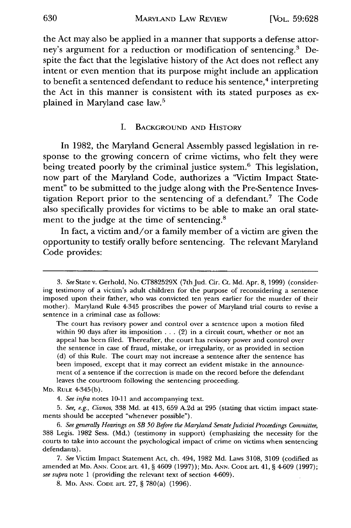the Act may also be applied in a manner that supports a defense attorney's argument for a reduction or modification of sentencing.<sup>3</sup> Despite the fact that the legislative history of the Act does not reflect any intent or even mention that its purpose might include an application to benefit a sentenced defendant to reduce his sentence,<sup>4</sup> interpreting the Act in this manner is consistent with its stated purposes as explained in Maryland case law.5

#### I. **BACKGROUND AND** HISTORY

In 1982, the Maryland General Assembly passed legislation in response to the growing concern of crime victims, who felt they were being treated poorly by the criminal justice system.<sup>6</sup> This legislation, now part of the Maryland Code, authorizes a "Victim Impact Statement" to be submitted to the judge along with the Pre-Sentence Investigation Report prior to the sentencing of a defendant.7 The Code also specifically provides for victims to be able to make an oral statement to the judge at the time of sentencing.<sup>8</sup>

In fact, a victim and/or a family member of a victim are given the opportunity to testify orally before sentencing. The relevant Maryland Code provides:

*<sup>3.</sup> See* State v. Gerhold, No. CT882529X (7thJud. Cir. Ct. Md. Apr. 8, 1999) (considering testimony of a victim's adult children for the purpose of reconsidering a sentence imposed upon their father, who was convicted ten years earlier for the murder of their mother). Maryland Rule 4-345 proscribes the power of Maryland trial courts to revise a sentence in a criminal case as follows:

The court has revisory power and control over a sentence upon a motion filed within 90 days after its imposition  $\dots$  (2) in a circuit court, whether or not an appeal has been filed. Thereafter, the court has revisory power and control over the sentence in case of fraud, mistake, or irregularity, or as provided in section (d) of this Rule. The court may not increase a sentence after the sentence has been imposed, except that it may correct an evident mistake in the announcement of a sentence if the correction is made on the record before the defendant leaves the courtroom following the sentencing proceeding.

MD. RULE 4-345(b).

*<sup>4.</sup> See infra* notes 10-11 and accompanying text.

*<sup>5.</sup> See, e.g., Cianos,* 338 Md. at 413, 659 A.2d at 295 (stating that victim impact statements should be accepted "whenever possible").

*<sup>6.</sup> See generally Hearings on SB 50 Before the Maryland Senate Judicial Proceedings Committee,* 388 Legis. 1982 Sess. (Md.) (testimony in support) (emphasizing the necessity for the courts to take into account the psychological impact of crime on victims when sentencing defendants).

<sup>7.</sup> *See* Victim Impact Statement Act, ch. 494, 1982 Md. Laws 3108, 3109 (codified as amended at MD. **ANN. CODE** art. 41, § 4609 (1997)); MD. **ANN. CODE** art. 41, § 4-609 (1997); *see supra* note 1 (providing the relevant text of section 4-609).

<sup>8.</sup> MD. ANN. **CODE** art. 27, § 780(a) (1996).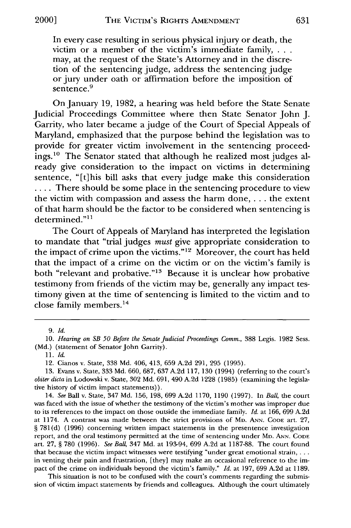In every case resulting in serious physical injury or death, the victim or a member of the victim's immediate family, . . . may, at the request of the State's Attorney and in the discretion of the sentencing judge, address the sentencing judge or jury under oath or affirmation before the imposition of sentence.<sup>9</sup>

On January 19, 1982, a hearing was held before the State Senate Judicial Proceedings Committee where then State Senator John J. Garrity, who later became a judge of the Court of Special Appeals of Maryland, emphasized that the purpose behind the legislation was to provide for greater victim involvement in the sentencing proceedings.<sup>10</sup> The Senator stated that although he realized most judges already give consideration to the impact on victims in determining sentence, "[t]his bill asks that every judge make this consideration .... There should be some place in the sentencing procedure to view the victim with compassion and assess the harm done, . **.** . the extent of that harm should be the factor to be considered when sentencing is  $determined."$ <sup>11</sup>

The Court of Appeals of Maryland has interpreted the legislation to mandate that "trial judges *must* give appropriate consideration to the impact of crime upon the victims."12 Moreover, the court has held that the impact of a crime on the victim or on the victim's family is both "relevant and probative."<sup>13</sup> Because it is unclear how probative testimony from friends of the victim may be, generally any impact testimony given at the time of sentencing is limited to the victim and to close family members.<sup>14</sup>

14. *See* Ball v. State, 347 Md. 156, 198, 699 A.2d 1170, 1190 (1997). In *Ball,* the court was faced with the issue of whether the testimony of the victim's mother was improper due to its references to the impact on those outside the immediate family. *Id.* at 166, 699 A.2d at 1174. A contrast was made between the strict provisions **of** MD. **ANN. CODE** art. 27, § 781(d) (1996) concerning written impact statements in the presentence investigation report, and the oral testimony permitted at the time of sentencing under MD. **ANN. CODE** art. 27, § 780 (1996). *See Ball,* 347 Md. at 193-94, 699 A.2d at 1187-88. The court found that because the victim impact witnesses were testifying "under great emotional strain, **...** in venting their pain and frustration, [they] may make an occasional reference to the impact of the crime on individuals beyond the victim's family." *Id.* at 197, 699 A.2d at 1189.

This situation is not to be confused with the court's comments regarding the submission of victim impact statements by friends and colleagues. Although the court ultimately

<sup>9.</sup> *Id.*

<sup>10.</sup> *Hearing on SB 50 Before the Senate Judicial Proceedings Comm.,* 388 Legis. 1982 Sess. (Md.) (statement of Senator John Garrity).

*<sup>11.</sup> Id.*

<sup>12.</sup> Cianos v. State, 338 Md. 406, 413, 659 A.2d 291, 295 (1995).

<sup>13.</sup> Evans v. State, 333 Md. 660, 687, 637 A.2d 117, 130 (1994) (referring to the court's *obiter dicta* in Lodowski v. State, 302 Md. 691, 490 A.2d 1228 (1985) (examining the legislative history of victim impact statements)).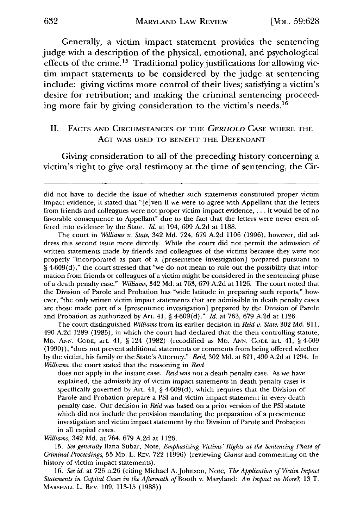Generally, a victim impact statement provides the sentencing judge with a description of the physical, emotional, and psychological effects of the crime.<sup>15</sup> Traditional policy justifications for allowing victim impact statements to be considered **by** the judge at sentencing include: giving victims more control of their lives; satisfying a victim's desire for retribution; and making the criminal sentencing proceeding more fair **by** giving consideration to the victim's needs.16

## II. FACTS AND CIRCUMSTANCES OF THE *GERHOLD* CASE WHERE THE ACT WAS USED TO BENEFIT THE DEFENDANT

Giving consideration to all of the preceding history concerning a victim's right to give oral testimony at the time of sentencing, the Cir-

The court in *Williams v. State,* 342 Md. 724, 679 A.2d 1106 (1996), however, did address this second issue more directly. While the court did not permit the admission of written statements made by friends and colleagues of the victims because they were not properly "incorporated as part of a [presentence investigation] prepared pursuant to § 4-609(d)," the court stressed that "we do not mean to rule out the possibility that information from friends or colleagues of a victim might be considered in the sentencing phase of a death penalty case." *Williams,* 342 Md. at 763, 679 A.2d at 1126. The court noted that the Division of Parole and Probation has "wide latitude in preparing such reports," however, "the only written victim impact statements that are admissible in death penalty cases are those made part of a [presentence investigation] prepared by the Division of Parole and Probation as authorized by Art. 41, § 4-609(d)." *Id.* at 763, 679 A.2d at 1126.

The court distinguished *Williams* from its earlier decision in *Reid v. State,* 302 Md. 811, 490 A.2d 1289 (1985), in which the court had declared that the then controlling statute, MD. ANN. CODE, art. 41, § 124 (1982) (recodified as MD. ANN. **CODE** art. 41, § 4-609 (1990)), "does not prevent additional statements or comments from being offered whether by the victim, his family or the State's Attorney." *Reid,* 302 Md. at 821, 490 A.2d at 1294. In *Williams,* the court stated that the reasoning in *Reid*

does not apply in the instant case. *Reid* was not a death penalty case. As we have explained, the admissibility of victim impact statements in death penalty cases is specifically governed by Art. 41, § 4-609(d), which requires that the Division of Parole and Probation prepare a PSI and victim impact statement in every death penalty case. Our decision in *Reid* was based on a prior version of the PSI statute which did not include the provision mandating the preparation of a presentence investigation and victim impact statement by the Division of Parole and Probation in all capital cases.

*Williams,* 342 Md. at 764, 679 A.2d at 1126.

15. *See generally* Ilana Subar, Note, *Emphasizing Victims' Rights at the Sentencing Phase of Criminal Proceedings,* 55 MD. L. REv. 722 (1996) (reviewing *Cianos* and commenting on the history of victim impact statements).

*16. See id.* at 726 n.26 (citing Michael A. Johnson, Note, *The Application of Victim Impact Statements in Capital Cases in the Aftermath of Booth v. Maryland: An Impact no More?, 13 T.* MARSHALL L. REv. 109, 113-15 (1988))

did not have to decide the issue of whether such statements constituted proper victim impact evidence, it stated that "[e]ven if we were to agree with Appellant that the letters from friends and colleagues were not proper victim impact evidence .... it would be of no favorable consequence to Appellant" due to the fact that the letters were never even offered into evidence by the State. *Id.* at 194, 699 A.2d at 1188.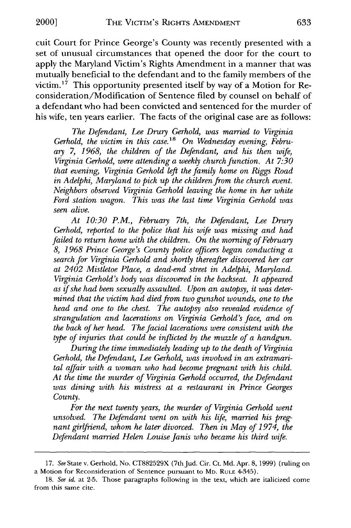cuit Court for Prince George's County was recently presented with a set of unusual circumstances that opened the door for the court to apply the Maryland Victim's Rights Amendment in a manner that was mutually beneficial to the defendant and to the family members of the victim.<sup>17</sup> This opportunity presented itself by way of a Motion for Reconsideration/Modification of Sentence filed by counsel on behalf of a defendant who had been convicted and sentenced for the murder of his wife, ten years earlier. The facts of the original case are as follows:

*The Defendant, Lee Drury Gerhold, was married to Virginia* Gerhold, the victim in this case.<sup>18</sup> On Wednesday evening, Febru*ary 7, 1968, the children of the Defendant, and his then wife, Virginia Gerhold, were attending a weekly church function. At 7:30 that evening, Virginia Gerhold left the family home on Riggs Road in Adelphi, Maryland to pick up the children from the church event. Neighbors observed Virginia Gerhold leaving the home in her white Ford station wagon. This was the last time Virginia Gerhold was seen alive.*

*At 10:30 P.M., February 7th, the Defendant, Lee Drury Gerhold, reported to the police that his wife was missing and had failed to return home with the children. On the morning of February 8, 1968 Prince George's County police officers began conducting a search for Virginia Gerhold and shortly thereafter discovered her car at 2402 Mistletoe Place, a dead-end street in Adelphi, Maryland. Virginia Gerhold's body was discovered in the backseat. It appeared as if she had been sexually assaulted. Upon an autopsy, it was determined that the victim had died from two gunshot wounds, one to the head and one to the chest. The autopsy also revealed evidence of strangulation and lacerations on Virginia Gerhold's face, and on the back of her head. The facial lacerations were consistent with the type of injuries that could be inflicted by the muzzle of a handgun.*

*During the time immediately leading up to the death of Virginia Gerhold, the Defendant, Lee Gerhold, was involved in an extramarital affair with a woman who had become pregnant with his child. At the time the murder of Virginia Gerhold occurred, the Defendant was dining with his mistress at a restaurant in Prince Georges County.*

*For the next twenty years, the murder of Virginia Gerhold went unsolved. The Defendant went on with his life, married his pregnant girlfiend, whom he later divorced. Then in May of 1974, the Defendant married Helen Louise Janis who became his third wife.*

**<sup>17.</sup>** *See* State v. Gerhold, No. **CT882529X** (7thJud. Cir. Ct. **Md.** Apr. **8, 1999)** (ruling on a Motion for Reconsideration of Sentence pursuant to MD. RULE 4-345).

**<sup>18.</sup>** *See id.* at **2-5.** Those paragraphs following in the text, which are italicized come from this same cite.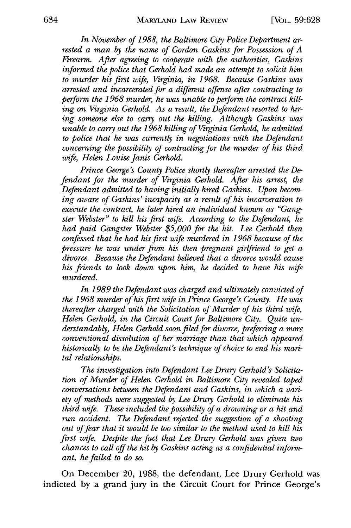*In November of 1988, the Baltimore City Police Department arrested a man by the name of Gordon Gaskins for Possession of A Firearm. After agreeing to cooperate with the authorities, Gaskins informed the police that Gerhold had made an attempt to solicit him to murder his first wife, Virginia, in 1968. Because Gaskins was arrested and incarcerated for a different offense after contracting to perform the 1968 murder, he was unable to perform the contract killing on Virginia Gerhold. As a result, the Defendant resorted to hiring someone else to carry out the killing. Although Gaskins was unable to carry out the 1968 killing of Virginia Gerhold, he admitted to police that he was currently in negotiations with the Defendant concerning the possibility of contracting for the murder of his third wife, Helen Louise Janis Gerhold.*

*Prince George's County Police shortly thereafter arrested the Defendant for the murder of Virginia Gerhold. After his arrest, the Defendant admitted to having initially hired Gaskins. Upon becoming aware of Gaskins' incapacity as a result of his incarceration to execute the contract, he later hired an individual known as "Gangster Webster" to kill his first wife. According to the Defendant, he had paid Gangster Webster \$5,000 for the hit. Lee Gerhold then confessed that he had his first wife murdered in 1968 because of the pressure he was under from his then pregnant girlfriend to get a divorce. Because the Defendant believed that a divorce would cause his friends to look down upon him, he decided to have his wife murdered.*

*In 1989 the Defendant was charged and ultimately convicted of the 1968 murder of his first wife in Prince George's County. He was thereafter charged with the Solicitation of Murder of his third wife, Helen Gerhold, in the Circuit Court for Baltimore City. Quite understandably, Helen Gerhold soon filed for divorce, preferring a more conventional dissolution of her marriage than that which appeared historically to be the Defendant's technique of choice to end his marital relationships.*

*The investigation into Defendant Lee Drury Gerhold's Solicitation of Murder of Helen Gerhold in Baltimore City revealed taped conversations between the Defendant and Gaskins, in which a* vari*ety of methods were suggested by Lee Drury Gerhold to eliminate his third wife. These included the possibility of a drowning or a hit and run accident. The Defendant rejected the suggestion of a shooting out offear that it would be too similar to the method used to kill his first wife. Despite the fact that Lee Drury Gerhold was given two chances to call off the hit by Gaskins acting as a confidential informant, he failed to do so.*

On December 20, **1988,** the defendant, Lee Drury Gerhold was indicted **by** a grand jury in the Circuit Court for Prince George's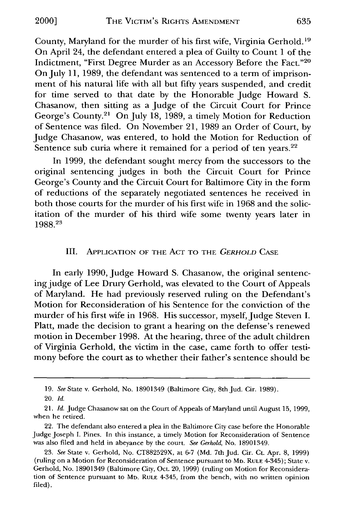County, Maryland for the murder of his first wife, Virginia Gerhold. **19** On April 24, the defendant entered a plea of Guilty to Count 1 of the Indictment, "First Degree Murder as an Accessory Before the Fact."20 On July 11, 1989, the defendant was sentenced to a term of imprisonment of his natural life with all but fifty years suspended, and credit for time served to that date by the Honorable Judge Howard S. Chasanow, then sitting as a Judge of the Circuit Court for Prince George's County.21 On July 18, 1989, a timely Motion for Reduction of Sentence was filed. On November 21, 1989 an Order of Court, by Judge Chasanow, was entered, to hold the Motion for Reduction of Sentence sub curia where it remained for a period of ten years. $22$ 

In 1999, the defendant sought mercy from the successors to the original sentencing judges in both the Circuit Court for Prince George's County and the Circuit Court for Baltimore City in the form of reductions of the separately negotiated sentences he received in both those courts for the murder of his first wife in 1968 and the solicitation of the murder of his third wife some twenty years later in 1988.23

### III. **APPLICATION** OF **THE ACT** TO THE *GERHOLD* **CASE**

In early 1990, Judge Howard S. Chasanow, the original sentencing judge of Lee Drury Gerhold, was elevated to the Court of Appeals of Maryland. He had previously reserved ruling on the Defendant's Motion for Reconsideration of his Sentence for the conviction of the murder of his first wife in 1968. His successor, myself, Judge Steven I. Platt, made the decision to grant a hearing on the defense's renewed motion in December 1998. At the hearing, three of the adult children of Virginia Gerhold, the victim in the case, came forth to offer testimony before the court as to whether their father's sentence should be

<sup>19.</sup> *See* State v. Gerhold, No. 18901349 (Baltimore City, 8th Jud. Cir. 1989).

<sup>20.</sup> *Id.*

<sup>21.</sup> *Id.* Judge Chasanow sat on the Court of Appeals of Maryland until August 15, 1999, when he retired.

<sup>22.</sup> The defendant also entered a plea in the Baltimore City case before the Honorable Judge Joseph I. Pines. In this instance, a timely Motion for Reconsideration of Sentence was also filed and held in abeyance by the court. *See Gerhold,* No. 18901349.

<sup>23.</sup> *See* State v. Gerhold, No. CT882529X, at 6-7 (Md. 7th Jud. Cir. Ct. Apr. 8, 1999) (ruling on a Motion for Reconsideration of Sentence pursuant to MD. RULE 4-345); State v. Gerhold, No. 18901349 (Baltimore City, Oct. 20, 1999) (ruling on Motion for Reconsideration of Sentence pursuant to MD. RULE 4-345, from the bench, with no written opinion filed).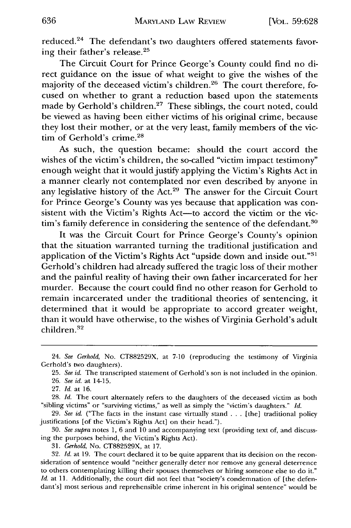reduced.<sup>24</sup> The defendant's two daughters offered statements favoring their father's release.25

The Circuit Court for Prince George's County could find no direct guidance on the issue of what weight to give the wishes of the majority of the deceased victim's children.<sup>26</sup> The court therefore, focused on whether to grant a reduction based upon the statements made by Gerhold's children.<sup>27</sup> These siblings, the court noted, could be viewed as having been either victims of his original crime, because they lost their mother, or at the very least, family members of the victim of Gerhold's crime.<sup>28</sup>

As such, the question became: should the court accord the wishes of the victim's children, the so-called "victim impact testimony" enough weight that it would justify applying the Victim's Rights Act in a manner clearly not contemplated nor even described by anyone in any legislative history of the Act.<sup>29</sup> The answer for the Circuit Court for Prince George's County was yes because that application was consistent with the Victim's Rights Act-to accord the victim or the victim's family deference in considering the sentence of the defendant.<sup>30</sup>

It was the Circuit Court for Prince George's County's opinion that the situation warranted turning the traditional justification and application of the Victim's Rights Act "upside down and inside out."<sup>31</sup> Gerhold's children had already suffered the tragic loss of their mother and the painful reality of having their own father incarcerated for her murder. Because the court could find no other reason for Gerhold to remain incarcerated under the traditional theories of sentencing, it determined that it would be appropriate to accord greater weight, than it would have otherwise, to the wishes of Virginia Gerhold's adult children.<sup>32</sup>

26. *See id.* at 14-15.

*31. Gerhold,* No. CT882529X, at 17.

32. *Id.* at 19. The court declared it to be quite apparent that its decision on the reconsideration of sentence would "neither generally deter nor remove any general deterrence to others contemplating killing their spouses themselves or hiring someone else to do it." *Id.* at 11. Additionally, the court did not feel that "society's condemnation of [the defendant's] most serious and reprehensible crime inherent in his original sentence" would be

<sup>24.</sup> *See Gerhold,* No. CT882529X, at 7-10 (reproducing the testimony of Virginia Gerhold's two daughters).

<sup>25.</sup> *See id.* The transcripted statement of Gerhold's son is not included in the opinion.

<sup>27.</sup> Id. at 16.

<sup>28.</sup> *Id.* The court alternately refers to the daughters of the deceased victim as both "sibling victims" or "surviving victims," as well as simply the "victim's daughters." *Id.*

<sup>29.</sup> *See id.* ("The facts in the instant case virtually stand ... [the] traditional policy justifications [of the Victim's Rights Act] on their head.").

<sup>30.</sup> *See supra* notes 1, 6 and 10 and accompanying text (providing text of, and discussing the purposes behind, the Victim's Rights Act).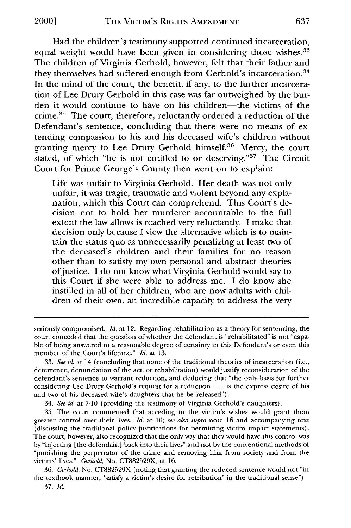Had the children's testimony supported continued incarceration, equal weight would have been given in considering those wishes.<sup>33</sup> The children of Virginia Gerhold, however, felt that their father and they themselves had suffered enough from Gerhold's incarceration.<sup>34</sup> In the mind of the court, the benefit, if any, to the further incarceration of Lee Drury Gerhold in this case was far outweighed by the burden it would continue to have on his children-the victims of the crime.35 The court, therefore, reluctantly ordered a reduction of the Defendant's sentence, concluding that there were no means of extending compassion to his and his deceased wife's children without granting mercy to Lee Drury Gerhold himself.<sup>36</sup> Mercy, the court stated, of which "he is not entitled to or deserving."<sup>37</sup> The Circuit Court for Prince George's County then went on to explain:

Life was unfair to Virginia Gerhold. Her death was not only unfair, it was tragic, traumatic and violent beyond any explanation, which this Court can comprehend. This Court's decision not to hold her murderer accountable to the full extent the law allows is reached very reluctantly. I make that decision only because I view the alternative which is to maintain the status quo as unnecessarily penalizing at least two of the deceased's children and their families for no reason other than to satisfy my own personal and abstract theories of justice. I do not know what Virginia Gerhold would say to this Court if she were able to address me. I do know she instilled in all of her children, who are now adults with children of their own, an incredible capacity to address the very

34. *See id.* at 7-10 (providing the testimony of Virginia Gerhold's daughters).

seriously compromised. *Id.* at 12. Regarding rehabilitation as a theory for sentencing, the court conceded that the question of whether the defendant is "rehabilitated" is not "capable of being answered to a reasonable degree of certainty in this Defendant's or even this member of the Court's lifetime." *Id.* at 13.

<sup>33.</sup> *See id.* at 14 (concluding that none of the traditional theories of incarceration (i.e., deterrence, denunciation of the act, or rehabilitation) would justify reconsideration of the defendant's sentence to warrant reduction, and deducing that "the only basis for further considering Lee Drury Gerhold's request for a reduction .. .is the express desire of his and two of his deceased wife's daughters that he be released").

<sup>35.</sup> The court commented that acceding to the victim's wishes would grant them greater control over their lives. *Id.* at 16; *see also supra* note 16 and accompanying text (discussing the traditional policy justifications for permitting victim impact statements). The court, however, also recognized that the only way that they would have this control was by "injecting [the defendant] back into their lives" and not by the conventional methods of "punishing the perpetrator of the crime and removing him from society and from the victims' lives." *Gerhold,* No. CT882529X, at 16.

<sup>36.</sup> *Gerhold,* No. CT882529X (noting that granting the reduced sentence would not "in the textbook manner, 'satisfy a victim's desire for retribution' in the traditional sense").

<sup>37.</sup> *Id.*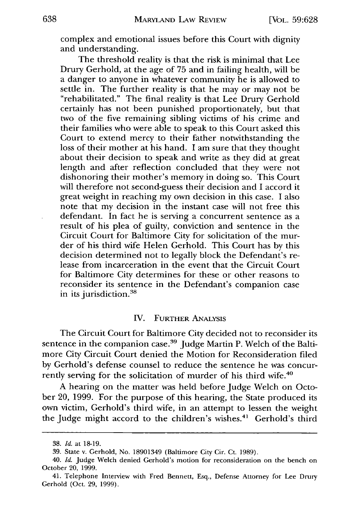complex and emotional issues before this Court with dignity and understanding.

The threshold reality is that the risk is minimal that Lee Drury Gerhold, at the age of 75 and in failing health, will be a danger to anyone in whatever community he is allowed to settle in. The further reality is that he may or may not be "rehabilitated." The final reality is that Lee Drury Gerhold certainly has not been punished proportionately, but that two of the five remaining sibling victims of his crime and their families who were able to speak to this Court asked this Court to extend mercy to their father notwithstanding the loss of their mother at his hand. I am sure that they thought about their decision to speak and write as they did at great length and after reflection concluded that they were not dishonoring their mother's memory in doing so. This Court will therefore not second-guess their decision and I accord it great weight in reaching my own decision in this case. I also note that my decision in the instant case will not free this defendant. In fact he is serving a concurrent sentence as a result of his plea of guilty, conviction and sentence in the Circuit Court for Baltimore City for solicitation of the murder of his third wife Helen Gerhold. This Court has by this decision determined not to legally block the Defendant's release from incarceration in the event that the Circuit Court for Baltimore City determines for these or other reasons to reconsider its sentence in the Defendant's companion case in its jurisdiction.<sup>38</sup>

#### IV. FURTHER ANALYSIS

The Circuit Court for Baltimore City decided not to reconsider its sentence in the companion case.<sup>39</sup> Judge Martin P. Welch of the Baltimore City Circuit Court denied the Motion for Reconsideration filed by Gerhold's defense counsel to reduce the sentence he was concurrently serving for the solicitation of murder of his third wife.<sup>40</sup>

A hearing on the matter was held before Judge Welch on October 20, 1999. For the purpose of this hearing, the State produced its own victim, Gerhold's third wife, in an attempt to lessen the weight the Judge might accord to the children's wishes.<sup>41</sup> Gerhold's third

<sup>38.</sup> *Id.* at 18-19.

<sup>39.</sup> State v. Gerhold, No. 18901349 (Baltimore City Cir. Ct. 1989).

<sup>40.</sup> *Id.* Judge Welch denied Gerhold's motion for reconsideration on the bench on October 20, 1999.

<sup>41.</sup> Telephone Interview with Fred Bennett, Esq., Defense Attorney for Lee Drury Gerhold (Oct. 29, 1999).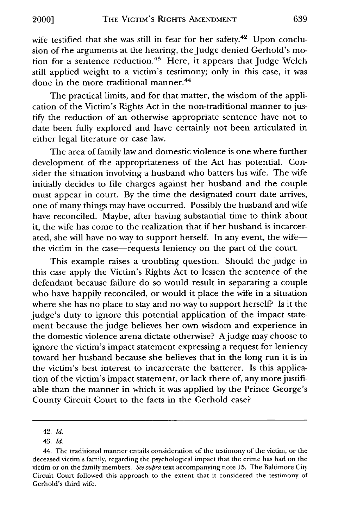wife testified that she was still in fear for her safety.<sup>42</sup> Upon conclusion of the arguments at the hearing, the Judge denied Gerhold's motion for a sentence reduction.<sup>43</sup> Here, it appears that Judge Welch still applied weight to a victim's testimony; only in this case, it was done in the more traditional manner.<sup>44</sup>

The practical limits, and for that matter, the wisdom of the application of the Victim's Rights Act in the non-traditional manner to justify the reduction of an otherwise appropriate sentence have not to date been fully explored and have certainly not been articulated in either legal literature or case law.

The area of family law and domestic violence is one where further development of the appropriateness of the Act has potential. Consider the situation involving a husband who batters his wife. The wife initially decides to file charges against her husband and the couple must appear in court. By the time the designated court date arrives, one of many things may have occurred. Possibly the husband and wife have reconciled. Maybe, after having substantial time to think about it, the wife has come to the realization that if her husband is incarcerated, she will have no way to support herself. In any event, the wifethe victim in the case-requests leniency on the part of the court.

This example raises a troubling question. Should the judge in this case apply the Victim's Rights Act to lessen the sentence of the defendant because failure do so would result in separating a couple who have happily reconciled, or would it place the wife in a situation where she has no place to stay and no way to support herself? Is it the judge's duty to ignore this potential application of the impact statement because the judge believes her own wisdom and experience in the domestic violence arena dictate otherwise? Ajudge may choose to ignore the victim's impact statement expressing a request for leniency toward her husband because she believes that in the long run it is in the victim's best interest to incarcerate the batterer. Is this application of the victim's impact statement, or lack there of, any more justifiable than the manner in which it was applied by the Prince George's County Circuit Court to the facts in the Gerhold case?

<sup>42.</sup> *Id.*

<sup>43.</sup> *Id.*

<sup>44.</sup> The traditional manner entails consideration of the testimony of the victim, or the deceased victim's family, regarding the psychological impact that the crime has had on the victim or on the family members. *See supra* text accompanying note 15. The Baltimore City Circuit Court followed this approach to the extent that it considered the testimony of Gerhold's third wife.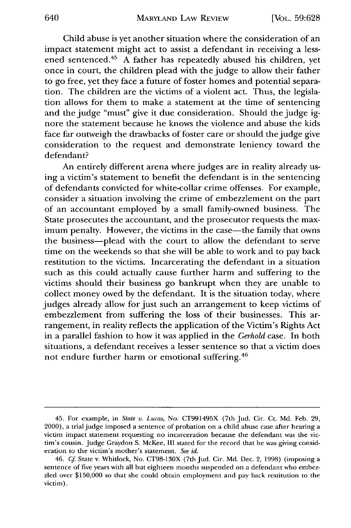Child abuse is yet another situation where the consideration of an impact statement might act to assist a defendant in receiving a lessened sentenced.<sup>45</sup> A father has repeatedly abused his children, yet once in court, the children plead with the judge to allow their father to go free, yet they face a future of foster homes and potential separation. The children are the victims of a violent act. Thus, the legislation allows for them to make a statement at the time of sentencing and the judge "must" give it due consideration. Should the judge ignore the statement because he knows the violence and abuse the kids face far outweigh the drawbacks of foster care or should the judge give consideration to the request and demonstrate leniency toward the defendant?

An entirely different arena where judges are in reality already using a victim's statement to benefit the defendant is in the sentencing of defendants convicted for white-collar crime offenses. For example, consider a situation involving the crime of embezzlement on the part of an accountant employed by a small family-owned business. The State prosecutes the accountant, and the prosecutor requests the maximum penalty. However, the victims in the case—the family that owns the business-plead with the court to allow the defendant to serve time on the weekends so that she will be able to work and to pay back restitution to the victims. Incarcerating the defendant in a situation such as this could actually cause further harm and suffering to the victims should their business go bankrupt when they are unable to collect money owed by the defendant. It is the situation today, where judges already allow for just such an arrangement to keep victims of embezzlement from suffering the loss of their businesses. This arrangement, in reality reflects the application of the Victim's Rights Act in a parallel fashion to how it was applied in the *Gerhold* case. In both situations, a defendant receives a lesser sentence so that a victim does not endure further harm or emotional suffering.<sup>46</sup>

<sup>45.</sup> For example, in *State v. Lucas,* No. CT991495X (7th Jud. Cir. Ct. Md. Feb. 29, 2000), a trial judge imposed a sentence of probation on a child abuse case after hearing a victim impact statement requesting no incarceration because the defendant was the victim's cousin. Judge Graydon S. McKee, III stated for the record that he was giving consideration to the victim's mother's statement. *See id.*

<sup>46.</sup> *Cf* State v. Whitlock, No. CT98-130X (7thJud. Cir. Md. Dec. 2, 1998) (imposing a sentence of five years with all but eighteen months suspended on a defendant who embezzled over \$150,000 so that she could obtain employment and pay back restitution to the victim).